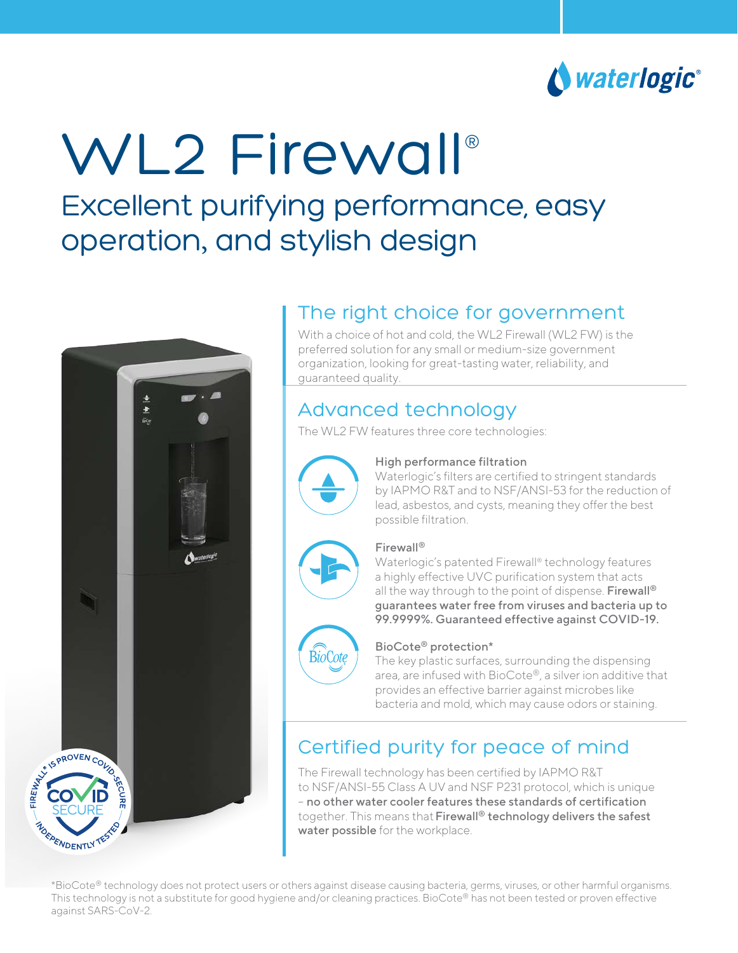

# WL2 Firewall® Excellent purifying performance, easy operation, and stylish design



# The right choice for government

With a choice of hot and cold, the WL2 Firewall (WL2 FW) is the preferred solution for any small or medium-size government organization, looking for great-tasting water, reliability, and guaranteed quality.

## Advanced technology

The WL2 FW features three core technologies:



#### High performance filtration

Waterlogic's filters are certified to stringent standards by IAPMO R&T and to NSF/ANSI-53 for the reduction of lead, asbestos, and cysts, meaning they offer the best possible filtration.



#### Firewall®

Waterlogic's patented Firewall® technology features a highly effective UVC purification system that acts all the way through to the point of dispense. Firewall<sup>®</sup> guarantees water free from viruses and bacteria up to 99.9999%. Guaranteed effective against COVID-19.



#### BioCote® protection\*

The key plastic surfaces, surrounding the dispensing area, are infused with BioCote®, a silver ion additive that provides an effective barrier against microbes like bacteria and mold, which may cause odors or staining.

# Certified purity for peace of mind

The Firewall technology has been certified by IAPMO R&T to NSF/ANSI-55 Class A UV and NSF P231 protocol, which is unique – no other water cooler features these standards of certification together. This means that Firewall<sup>®</sup> technology delivers the safest water possible for the workplace.

\*BioCote® technology does not protect users or others against disease causing bacteria, germs, viruses, or other harmful organisms. This technology is not a substitute for good hygiene and/or cleaning practices. BioCote® has not been tested or proven effective against SARS-CoV-2.